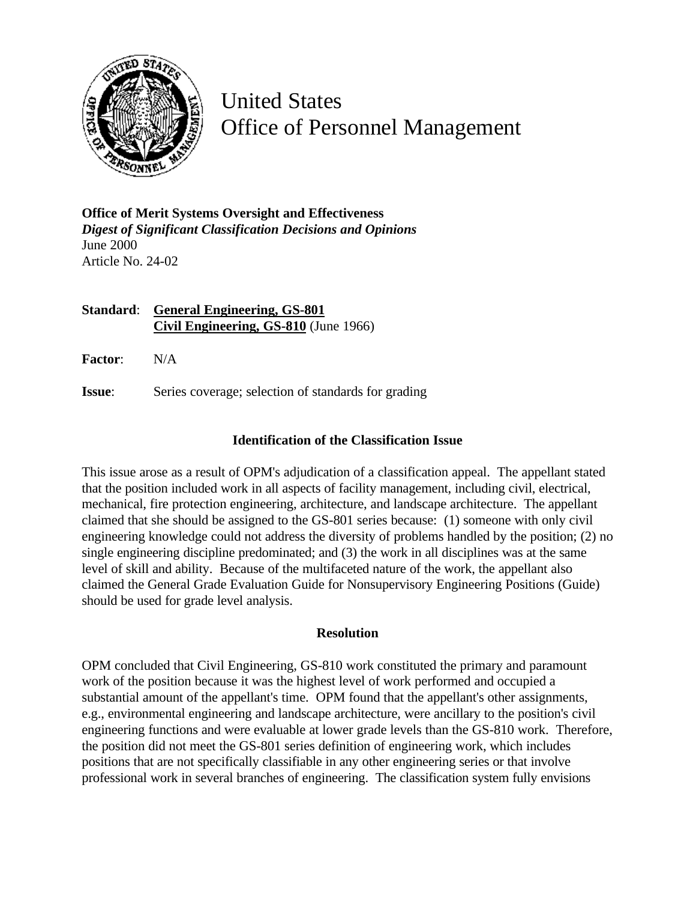

United States Office of Personnel Management

**Office of Merit Systems Oversight and Effectiveness** *Digest of Significant Classification Decisions and Opinions* June 2000 Article No. 24-02

**Standard**: **General Engineering, GS-801 Civil Engineering, GS-810** (June 1966)

**Factor**: N/A

**Issue:** Series coverage; selection of standards for grading

## **Identification of the Classification Issue**

This issue arose as a result of OPM's adjudication of a classification appeal. The appellant stated that the position included work in all aspects of facility management, including civil, electrical, mechanical, fire protection engineering, architecture, and landscape architecture. The appellant claimed that she should be assigned to the GS-801 series because: (1) someone with only civil engineering knowledge could not address the diversity of problems handled by the position; (2) no single engineering discipline predominated; and (3) the work in all disciplines was at the same level of skill and ability. Because of the multifaceted nature of the work, the appellant also claimed the General Grade Evaluation Guide for Nonsupervisory Engineering Positions (Guide) should be used for grade level analysis.

## **Resolution**

OPM concluded that Civil Engineering, GS-810 work constituted the primary and paramount work of the position because it was the highest level of work performed and occupied a substantial amount of the appellant's time. OPM found that the appellant's other assignments, e.g., environmental engineering and landscape architecture, were ancillary to the position's civil engineering functions and were evaluable at lower grade levels than the GS-810 work. Therefore, the position did not meet the GS-801 series definition of engineering work, which includes positions that are not specifically classifiable in any other engineering series or that involve professional work in several branches of engineering. The classification system fully envisions